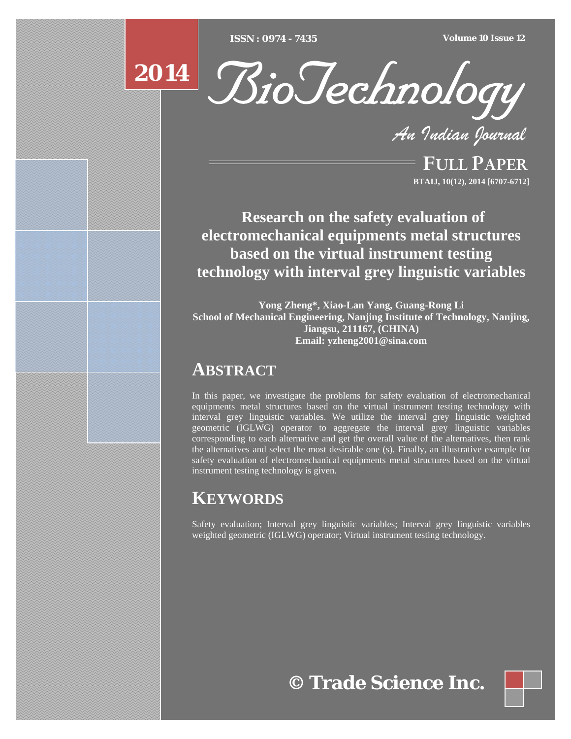[Type text] [Type text] [Type text] *ISSN : 0974 - 7435 Volume 10 Issue 12*





*An Indian Journal*

FULL PAPER **BTAIJ, 10(12), 2014 [6707-6712]**

 **Research on the safety evaluation of electromechanical equipments metal structures based on the virtual instrument testing technology with interval grey linguistic variables**

**Yong Zheng\*, Xiao-Lan Yang, Guang-Rong Li School of Mechanical Engineering, Nanjing Institute of Technology, Nanjing, Jiangsu, 211167, (CHINA) Email: yzheng2001@sina.com** 

### **ABSTRACT**

In this paper, we investigate the problems for safety evaluation of electromechanical equipments metal structures based on the virtual instrument testing technology with interval grey linguistic variables. We utilize the interval grey linguistic weighted geometric (IGLWG) operator to aggregate the interval grey linguistic variables corresponding to each alternative and get the overall value of the alternatives, then rank the alternatives and select the most desirable one (s). Finally, an illustrative example for safety evaluation of electromechanical equipments metal structures based on the virtual instrument testing technology is given.

## **KEYWORDS**

Safety evaluation; Interval grey linguistic variables; Interval grey linguistic variables weighted geometric (IGLWG) operator; Virtual instrument testing technology.

# **© Trade Science Inc.**

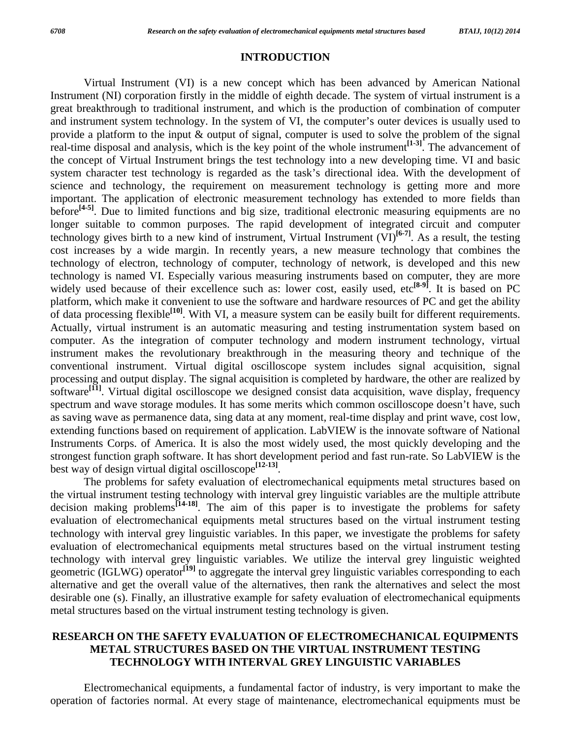#### **INTRODUCTION**

 Virtual Instrument (VI) is a new concept which has been advanced by American National Instrument (NI) corporation firstly in the middle of eighth decade. The system of virtual instrument is a great breakthrough to traditional instrument, and which is the production of combination of computer and instrument system technology. In the system of VI, the computer's outer devices is usually used to provide a platform to the input & output of signal, computer is used to solve the problem of the signal real-time disposal and analysis, which is the key point of the whole instrument**[1-3]**. The advancement of the concept of Virtual Instrument brings the test technology into a new developing time. VI and basic system character test technology is regarded as the task's directional idea. With the development of science and technology, the requirement on measurement technology is getting more and more important. The application of electronic measurement technology has extended to more fields than before**[4-5]**. Due to limited functions and big size, traditional electronic measuring equipments are no longer suitable to common purposes. The rapid development of integrated circuit and computer technology gives birth to a new kind of instrument, Virtual Instrument  $(VI)^{[6-7]}$ . As a result, the testing cost increases by a wide margin. In recently years, a new measure technology that combines the technology of electron, technology of computer, technology of network, is developed and this new technology is named VI. Especially various measuring instruments based on computer, they are more widely used because of their excellence such as: lower cost, easily used, etc<sup>[8-9]</sup>. It is based on PC platform, which make it convenient to use the software and hardware resources of PC and get the ability of data processing flexible**[10]**. With VI, a measure system can be easily built for different requirements. Actually, virtual instrument is an automatic measuring and testing instrumentation system based on computer. As the integration of computer technology and modern instrument technology, virtual instrument makes the revolutionary breakthrough in the measuring theory and technique of the conventional instrument. Virtual digital oscilloscope system includes signal acquisition, signal processing and output display. The signal acquisition is completed by hardware, the other are realized by software<sup>[11]</sup>. Virtual digital oscilloscope we designed consist data acquisition, wave display, frequency spectrum and wave storage modules. It has some merits which common oscilloscope doesn't have, such as saving wave as permanence data, sing data at any moment, real-time display and print wave, cost low, extending functions based on requirement of application. LabVIEW is the innovate software of National Instruments Corps. of America. It is also the most widely used, the most quickly developing and the strongest function graph software. It has short development period and fast run-rate. So LabVIEW is the best way of design virtual digital oscilloscope**[12-13]**.

 The problems for safety evaluation of electromechanical equipments metal structures based on the virtual instrument testing technology with interval grey linguistic variables are the multiple attribute decision making problems<sup>[14-18]</sup>. The aim of this paper is to investigate the problems for safety evaluation of electromechanical equipments metal structures based on the virtual instrument testing technology with interval grey linguistic variables. In this paper, we investigate the problems for safety evaluation of electromechanical equipments metal structures based on the virtual instrument testing technology with interval grey linguistic variables. We utilize the interval grey linguistic weighted geometric (IGLWG) operator<sup>[19]</sup> to aggregate the interval grey linguistic variables corresponding to each alternative and get the overall value of the alternatives, then rank the alternatives and select the most desirable one (s). Finally, an illustrative example for safety evaluation of electromechanical equipments metal structures based on the virtual instrument testing technology is given.

### **RESEARCH ON THE SAFETY EVALUATION OF ELECTROMECHANICAL EQUIPMENTS METAL STRUCTURES BASED ON THE VIRTUAL INSTRUMENT TESTING TECHNOLOGY WITH INTERVAL GREY LINGUISTIC VARIABLES**

 Electromechanical equipments, a fundamental factor of industry, is very important to make the operation of factories normal. At every stage of maintenance, electromechanical equipments must be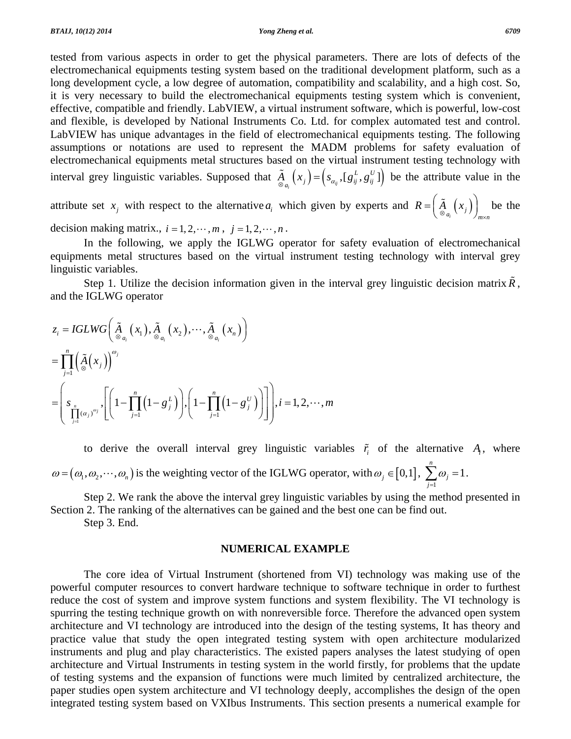tested from various aspects in order to get the physical parameters. There are lots of defects of the electromechanical equipments testing system based on the traditional development platform, such as a long development cycle, a low degree of automation, compatibility and scalability, and a high cost. So, it is very necessary to build the electromechanical equipments testing system which is convenient, effective, compatible and friendly. LabVIEW, a virtual instrument software, which is powerful, low-cost and flexible, is developed by National Instruments Co. Ltd. for complex automated test and control. LabVIEW has unique advantages in the field of electromechanical equipments testing. The following assumptions or notations are used to represent the MADM problems for safety evaluation of electromechanical equipments metal structures based on the virtual instrument testing technology with interval grey linguistic variables. Supposed that  $\tilde{A}_{\alpha_i}(x_j) = (s_{\alpha_i}, [g_{ij}^L, g_{ij}^U])$  $\tilde{A}_{\alpha_i}(x_i) = (s_{\alpha_i}, [g_i^L, g_i^U])$  be the attribute value in the

attribute set  $x_j$  with respect to the alternative  $a_i$  which given by experts and  $R = \left(\frac{\tilde{A}}{\otimes a_i}(x_j)\right)_{m \times n}$  $=\left(\frac{\tilde{A}}{\otimes a_i}\left(x_i\right)\right)_{m \times n}$  be the decision making matrix.,  $i = 1, 2, \dots, m$ ,  $j = 1, 2, \dots, n$ .

 In the following, we apply the IGLWG operator for safety evaluation of electromechanical equipments metal structures based on the virtual instrument testing technology with interval grey linguistic variables.

Step 1. Utilize the decision information given in the interval grey linguistic decision matrix  $\tilde{R}$ , and the IGLWG operator

$$
z_i = IGLWG\left(\underset{\beta}{\tilde{A}}_{\alpha_i}(x_1), \underset{\beta}{\tilde{A}}_{\alpha_i}(x_2), \cdots, \underset{\beta}{\tilde{A}}_{\alpha_i}(x_n)\right)
$$
  
= 
$$
\prod_{j=1}^n \left(\underset{\beta}{\tilde{A}}(x_j)\right)^{\omega_j}
$$
  
= 
$$
\left(s_{\underset{j=1}{\prod_{j=1}^n}(\alpha_j)^{\omega_j}}, \left[\left(1-\prod_{j=1}^n\left(1-g_j^L\right)\right), \left(1-\prod_{j=1}^n\left(1-g_j^U\right)\right)\right]\right), i=1,2,\cdots,m
$$

to derive the overall interval grey linguistic variables  $\tilde{r}_i$  of the alternative  $A_i$ , where  $\omega = (\omega_1, \omega_2, \cdots, \omega_n)$  is the weighting vector of the IGLWG operator, with  $\omega_j \in [0,1]$ ,  $\sum_{j=1}^{\infty} \omega_j = 1$ *n j j* ω  $\sum_{j=1}^{\infty} \omega_j = 1.$ 

 Step 2. We rank the above the interval grey linguistic variables by using the method presented in Section 2. The ranking of the alternatives can be gained and the best one can be find out.

Step 3. End.

#### **NUMERICAL EXAMPLE**

 The core idea of Virtual Instrument (shortened from VI) technology was making use of the powerful computer resources to convert hardware technique to software technique in order to furthest reduce the cost of system and improve system functions and system flexibility. The VI technology is spurring the testing technique growth on with nonreversible force. Therefore the advanced open system architecture and VI technology are introduced into the design of the testing systems, It has theory and practice value that study the open integrated testing system with open architecture modularized instruments and plug and play characteristics. The existed papers analyses the latest studying of open architecture and Virtual Instruments in testing system in the world firstly, for problems that the update of testing systems and the expansion of functions were much limited by centralized architecture, the paper studies open system architecture and VI technology deeply, accomplishes the design of the open integrated testing system based on VXIbus Instruments. This section presents a numerical example for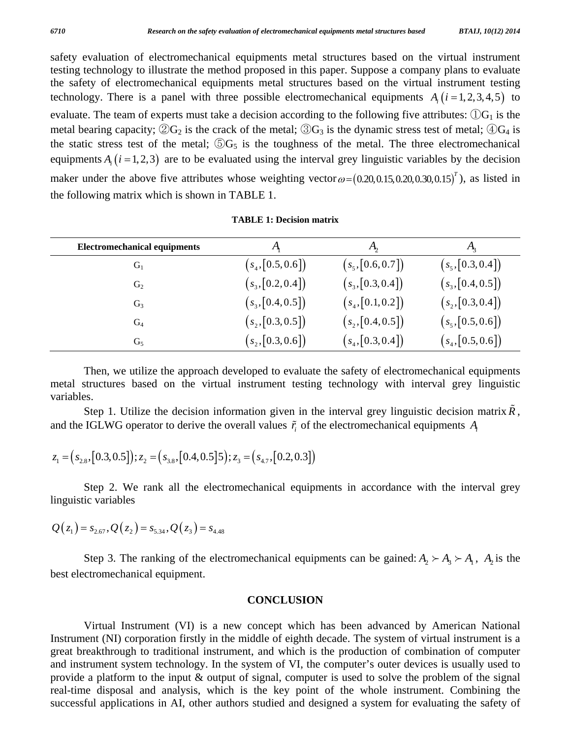safety evaluation of electromechanical equipments metal structures based on the virtual instrument testing technology to illustrate the method proposed in this paper. Suppose a company plans to evaluate the safety of electromechanical equipments metal structures based on the virtual instrument testing technology. There is a panel with three possible electromechanical equipments  $A_i$   $(i = 1, 2, 3, 4, 5)$  to evaluate. The team of experts must take a decision according to the following five attributes:  $\mathbb{O}G_1$  is the metal bearing capacity;  $(2)G_2$  is the crack of the metal;  $(3)G_3$  is the dynamic stress test of metal;  $(4)G_4$  is the static stress test of the metal;  $\odot$ G<sub>5</sub> is the toughness of the metal. The three electromechanical equipments  $A_i$  ( $i = 1, 2, 3$ ) are to be evaluated using the interval grey linguistic variables by the decision maker under the above five attributes whose weighting vector  $\omega = (0.20, 0.15, 0.20, 0.30, 0.15)^T$ , as listed in the following matrix which is shown in TABLE 1.

| <b>Electromechanical equipments</b> | A                   | $A_{\mathcal{D}}$   | $A_{2}$             |
|-------------------------------------|---------------------|---------------------|---------------------|
| $G_1$                               | $(s_4, [0.5, 0.6])$ | $(s_5, [0.6, 0.7])$ | $(s_5, [0.3, 0.4])$ |
| $G_2$                               | $(s_3, [0.2, 0.4])$ | $(s_3, [0.3, 0.4])$ | $(s_3, [0.4, 0.5])$ |
| $G_3$                               | $(s_3, [0.4, 0.5])$ | $(s_4, [0.1, 0.2])$ | $(s_2, [0.3, 0.4])$ |
| $G_4$                               | $(s_2, [0.3, 0.5])$ | $(s_2, [0.4, 0.5])$ | $(s_5, [0.5, 0.6])$ |
| $G_5$                               | $(s_2, [0.3, 0.6])$ | $(s_4, [0.3, 0.4])$ | $(s_4, [0.5, 0.6])$ |

**TABLE 1: Decision matrix** 

 Then, we utilize the approach developed to evaluate the safety of electromechanical equipments metal structures based on the virtual instrument testing technology with interval grey linguistic variables.

Step 1. Utilize the decision information given in the interval grey linguistic decision matrix  $R$ , and the IGLWG operator to derive the overall values  $\tilde{r}$  of the electromechanical equipments  $A_i$ 

$$
z_1 = (s_{2.8}, [0.3, 0.5]); z_2 = (s_{3.8}, [0.4, 0.5]5); z_3 = (s_{4.7}, [0.2, 0.3])
$$

 Step 2. We rank all the electromechanical equipments in accordance with the interval grey linguistic variables

$$
Q(z_1) = s_{2.67}, Q(z_2) = s_{5.34}, Q(z_3) = s_{4.48}
$$

Step 3. The ranking of the electromechanical equipments can be gained:  $A_2 \succ A_3 \succ A_1$ ,  $A_2$  is the best electromechanical equipment.

#### **CONCLUSION**

 Virtual Instrument (VI) is a new concept which has been advanced by American National Instrument (NI) corporation firstly in the middle of eighth decade. The system of virtual instrument is a great breakthrough to traditional instrument, and which is the production of combination of computer and instrument system technology. In the system of VI, the computer's outer devices is usually used to provide a platform to the input & output of signal, computer is used to solve the problem of the signal real-time disposal and analysis, which is the key point of the whole instrument. Combining the successful applications in AI, other authors studied and designed a system for evaluating the safety of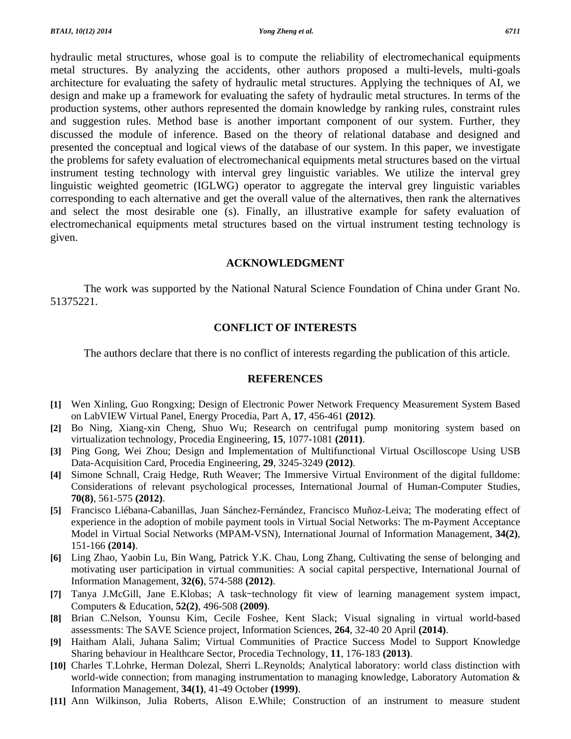hydraulic metal structures, whose goal is to compute the reliability of electromechanical equipments metal structures. By analyzing the accidents, other authors proposed a multi-levels, multi-goals architecture for evaluating the safety of hydraulic metal structures. Applying the techniques of AI, we design and make up a framework for evaluating the safety of hydraulic metal structures. In terms of the production systems, other authors represented the domain knowledge by ranking rules, constraint rules and suggestion rules. Method base is another important component of our system. Further, they discussed the module of inference. Based on the theory of relational database and designed and presented the conceptual and logical views of the database of our system. In this paper, we investigate the problems for safety evaluation of electromechanical equipments metal structures based on the virtual instrument testing technology with interval grey linguistic variables. We utilize the interval grey linguistic weighted geometric (IGLWG) operator to aggregate the interval grey linguistic variables corresponding to each alternative and get the overall value of the alternatives, then rank the alternatives

and select the most desirable one (s). Finally, an illustrative example for safety evaluation of electromechanical equipments metal structures based on the virtual instrument testing technology is given.

#### **ACKNOWLEDGMENT**

 The work was supported by the National Natural Science Foundation of China under Grant No. 51375221.

#### **CONFLICT OF INTERESTS**

The authors declare that there is no conflict of interests regarding the publication of this article.

#### **REFERENCES**

- **[1]** Wen Xinling, Guo Rongxing; Design of Electronic Power Network Frequency Measurement System Based on LabVIEW Virtual Panel, Energy Procedia, Part A, **17**, 456-461 **(2012)**.
- **[2]** Bo Ning, Xiang-xin Cheng, Shuo Wu; Research on centrifugal pump monitoring system based on virtualization technology, Procedia Engineering, **15**, 1077-1081 **(2011)**.
- **[3]** Ping Gong, Wei Zhou; Design and Implementation of Multifunctional Virtual Oscilloscope Using USB Data-Acquisition Card, Procedia Engineering, **29**, 3245-3249 **(2012)**.
- **[4]** Simone Schnall, Craig Hedge, Ruth Weaver; The Immersive Virtual Environment of the digital fulldome: Considerations of relevant psychological processes, International Journal of Human-Computer Studies, **70(8)**, 561-575 **(2012)**.
- **[5]** Francisco Liébana-Cabanillas, Juan Sánchez-Fernández, Francisco Muñoz-Leiva; The moderating effect of experience in the adoption of mobile payment tools in Virtual Social Networks: The m-Payment Acceptance Model in Virtual Social Networks (MPAM-VSN), International Journal of Information Management, **34(2)**, 151-166 **(2014)**.
- **[6]** Ling Zhao, Yaobin Lu, Bin Wang, Patrick Y.K. Chau, Long Zhang, Cultivating the sense of belonging and motivating user participation in virtual communities: A social capital perspective, International Journal of Information Management, **32(6)**, 574-588 **(2012)**.
- **[7]** Tanya J.McGill, Jane E.Klobas; A task–technology fit view of learning management system impact, Computers & Education, **52(2)**, 496-508 **(2009)**.
- **[8]** Brian C.Nelson, Younsu Kim, Cecile Foshee, Kent Slack; Visual signaling in virtual world-based assessments: The SAVE Science project, Information Sciences, **264**, 32-40 20 April **(2014)**.
- **[9]** Haitham Alali, Juhana Salim; Virtual Communities of Practice Success Model to Support Knowledge Sharing behaviour in Healthcare Sector, Procedia Technology, **11**, 176-183 **(2013)**.
- **[10]** Charles T.Lohrke, Herman Dolezal, Sherri L.Reynolds; Analytical laboratory: world class distinction with world-wide connection; from managing instrumentation to managing knowledge, Laboratory Automation & Information Management, **34(1)**, 41-49 October **(1999)**.
- **[11]** Ann Wilkinson, Julia Roberts, Alison E.While; Construction of an instrument to measure student